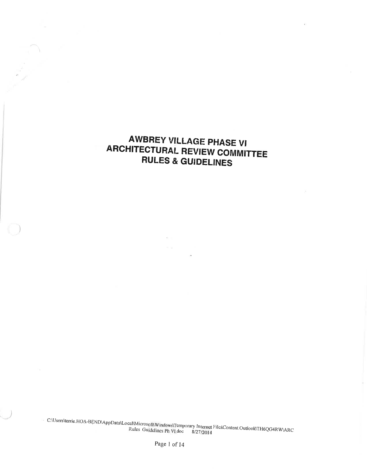# AWBREY VILLAGE PHASE VI **ARCHITECTURAL REVIEW COMMITTEE** RULES & GUIDELINES

 $\backslash$ 

)

)

c:\users\terrie.H.A-BEND,^pp,r""r"îîîf:.äiå\î,.Xr;il\$l emporary internet FilesContent.Outlook\TH6QG4RW\ARC<br>doc 8/27/2014

 $\sim$   $\alpha$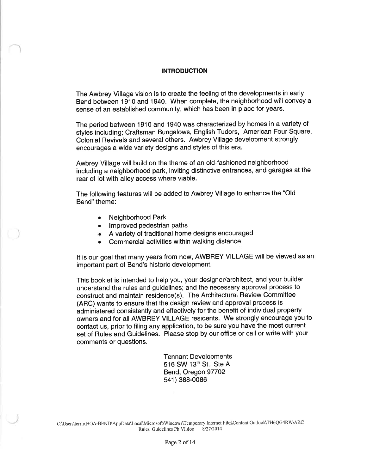#### INTRODUCTION

The Awbrey Village vision is to create the feeling of the developments in early Bend between 1910 and 1940. When complete, the neighborhood will convey a sense of an established community, which has been in place for years.

The period between 1910 and 1940 was characterized by homes in a variety of styles including; Craftsman Bungalows, English Tudors, American Four Square, Colonial Revivals and several others. Awbrey Village development strongly encourages a wide variety designs and styles of this era.

Awbrey Village will build on the theme of an old-fashioned neighborhood including a neighborhood park, inviting distinctive entrances, and garages at the rear of lot with alley access where viable.

The following features will be added to Awbrey Village to enhance the "Old Bend" theme:

- . Neighborhood Park
- Improved pedestrian paths
- . A variety of traditional home designs encouraged
- . Commercial activities within walking distance

It is our goal that many years from now, AWBREY VILLAGE will be viewed as an important part of Bend's historic development.

This booklet is intended to help you, your designer/architect, and your builder understand the rules and guidelines; and the necessary approval process to construct and maintain residence(s). The Architectural Review Committee (ARC) wants to ensure that the design review and approval process is administered consistently and effectively for the benefit of individual property owners and for all AWBREY VILLAGE residents. We strongly encourage you to contact us, prior to filing any application, to be sure you have the most current set of Rules and Guidelines. Please stop by our office or call or write with your comments or questions.

> Tennant Developments 516 SW 13th St., Ste A Bend, Oregon 97702 541 ) 388-0086

C:\Users\tenie.HOA-BEND\AppData\Local\Microsoft\Windows\Temporary Internet F'ilcSContent.OutlooldTH6QG4RW\ARC Rules Guidelines Ph Vl.doc 8/2712014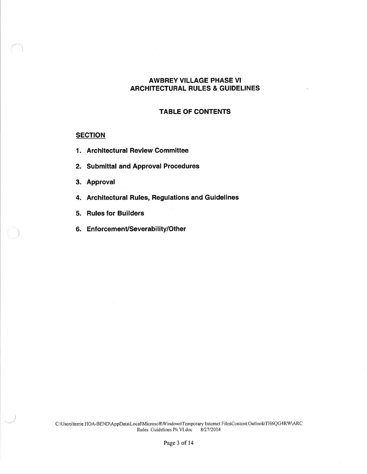# AWBREY VILLAGE PHASE VI ARCHITECTURAL RULES & GUIDELINES

#### TABLE OF CONTENTS

### **SECTION**

- 1. Architectural Review Committee
- 2. Submittal and Approval Procedures
- 3. Approval

)

)

- 4. Architectural Rules, Regulations and Guidelines
- 5. Rules for Builders
- 6. Enforcement/Severability/Other

C:\Users\tenie.HOA-BEND\AppData\Local\Microsoft\Windows\Temporary Irrternet File\$Content.OutlooldTH6QG4RW\ARC Rules Guidelines Ph Vl.doc 8127/2014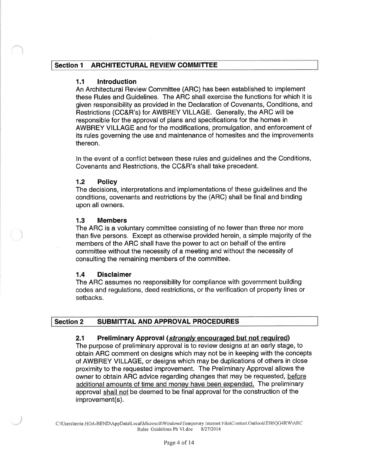# Section 1 ARCHITECTURAL REVIEW COMMITTEE

### 1.1 lntroduction

An Architectural Review Committee (ARC) has been established to implement these Rules and Guidelines. The ARC shall exercise the functions for which it is given responsibility as provided in the Declaration of Covenants, Conditions, and Restrictions (CC&R's) for AWBREY VILLAGE. Generally, the ARC will be responsible for the approval of plans and specifications for the homes in AWBREY VILLAGE and for the modifications, promulgation, and enforcement of its rules governing the use and maintenance of homesites and the improvements thereon.

ln the event of a conflict between these rules and guidelines and the Conditions, Covenants and Restrictions, the CC&R's shall take precedent.

### 1.2 Policy

The decisions, interpretations and implementations of these guidelines and the conditions, covenants and restrictions by the (ARC) shall be final and binding upon all owners.

#### 1.3 Members

The ARC is a voluntary committee consisting of no fewer than three nor more than five persons. Except as otherwise provided herein, a simple majority of the members of the ARC shall have the power to act on behalf of the entire committee without the necessity of a meeting and without the necessity of consulting the remaining members of the committee.

#### 1.4 Disclaimer

The ARC assumes no responsibility for compliance with government building codes and regulations, deed restrictions, or the verification of property lines or setbacks.

### Section 2 SUBMITTAL AND APPROVAL PROCEDURES

#### 2.1 Preliminary Approval (strongly encouraged but not required)

The purpose of preliminary approval is to review designs at an early stage, to obtain ARC comment on designs which may not be in keeping with the concepts of AWBREY VILLAGE, or designs which may be duplications of others in close proximity to the requested improvement. The Preliminary Approval allows the owner to obtain ARC advice regarding changes that may be requested, before additional amounts of time and money have been expended. The preliminary approval shall not be deemed to be final approval for the construction of the improvement(s).

C:\Users\terrie.HOA-BEND\AppData\Local\Microsoft\Windows\Temporary Internet Files\Content.Outlook\TH6QG4RW\ARC Rules Guidelines Ph Vl.doc 8/2712014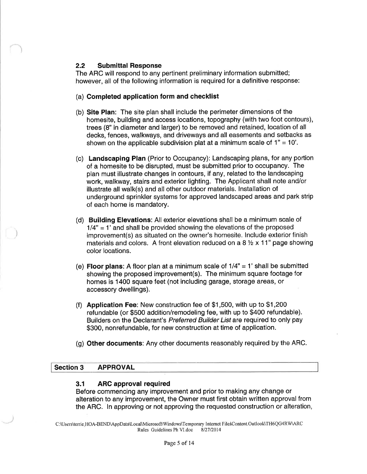# 2.2 Submittal Response

The ARC will respond to any pertinent preliminary information submitted; however, all of the following information is required for a definitive response:

# (a) Completed application form and checklist

- (b) Site Plan: The site plan shall include the perimeter dimensions of the homesite, building and access locations, topography (with two foot contours), trees (8" in diameter and larger) to be removed and retained, location of all decks, fences, walkways, and driveways and all easements and setbacks as shown on the applicable subdivision plat at a minimum scale of  $1" = 10'.$
- (c) Landscaping Plan (Prior to Occupancy): Landscaping plans, for any portion of a homesite to be disrupted, must be submitted prior to occupancy. The plan must illustrate changes in contours, if any, related to the landscaping work, walkway, stairs and exterior lighting. The Applicant shall note and/or illustrate all walk(s) and all other outdoor materials. lnstallation of underground sprinkler systems for approved landscaped areas and park strip of each home is mandatory.
- (d) Building Elevations: All exterior elevations shall be a minimum scale of  $1/4" = 1'$  and shall be provided showing the elevations of the proposed improvement(s) as situated on the owner's homesite. lnclude exterior finish materials and colors. A front elevation reduced on a 8  $\frac{1}{2}$  x 11" page showing color locations.
- (e) Floor plans: A floor plan at a minimum scale of  $1/4" = 1'$  shall be submitted showing the proposed improvement(s). The minimum square footage for homes is 1400 square feet (not including garage, storage areas, or accessory dwellings).
- (f) Application Fee: New construction fee of \$1,500, with up to \$1,200 refundable (or \$500 addition/remodeling fee, with up to \$400 refundable). Builders on the Declarant's Preferred Builder List are required to only pay \$300, nonrefundable, for new construction at time of application.
- (g) Other documents: Any other documents reasonably required by the ARC.

# Section 3 APPROVAL

### 3.f ARC approval required

Before commencing any improvement and prior to making any change or alteration to any improvement, the Owner must first obtain written approval from the ARC. ln approving or not approving the requested construction or alteration,

C:\Users\terrie.HOA-BEND\AppData\Local\lvlicrosoft\Windows\Temporary Intemet File\$Content.OutlooKTH6QG4RW\ARC Rules Guidelines Ph Vl.doc 8/27/2014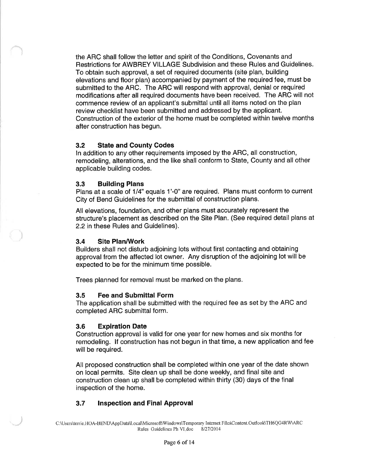the ARC shall follow the letter and spirit of the Conditions, Covenants and Restrictions for AWBREY VILLAGE Subdivision and these Rules and Guidelines. To obtain such approval, a set of required documents (site plan, building elevations and floor plan) accompanied by payment of the required fee, must be submitted to the ARC. The ARC will respond with approval, denial or required modifications after all required documents have been received. The ARC will not commence review of an applicant's submittal until all items noted on the plan review checklist have been submitted and addressed by the applicant. Construction of the exterior of the home must be completed within twelve months after construction has begun.

# 3.2 State and County Codes

ln addition to any other requirements imposed by the ARC, all construction, remodeling, alterations, and the like shall conform to State, County and all other applicable building codes.

# 3.3 Building Plans

Plans at a scale of 1/4" equals 1'-0" are required. Plans must conform to current City of Bend Guidelines for the submittal of construction plans.

All elevations, foundation, and other plans must accurately represent the structure's placement as described on the Site Plan. (See required detail plans at 2.2 in these Rules and Guidelines).

# 3.4 Site Plan/Work

Builders shall not disturb adjoining lots without first contacting and obtaining approval from the affected lot owner. Any disruption of the adjoining lot will be expected to be for the minimum time possible.

Trees planned for removal must be marked on the plans.

### 3.5 Fee and Submittal Form

The application shall be submitted with the required fee as set by the ARC and completed ARC submittal form.

### 3.6 Expiration Date

Construction approval is valid for one year for new homes and six months for remodeling. lf construction has not begun in that time, a new application and fee will be required.

All proposed construction shall be completed within one year of the date shown on local permits. Site clean up shall be done weekly, and final site and construction clean up shall be completed within thirty (30) days of the final inspection of the home.

# 3.7 lnspection and Final Approval

C:\Users\terrie.HOA-BEND\AppData\Local\Microsoft\Windows\Temporary Internet Files\Content.Outlook\TH6QG4RW\ARC Rules Guidelines Ph VI.doc 8/27/2014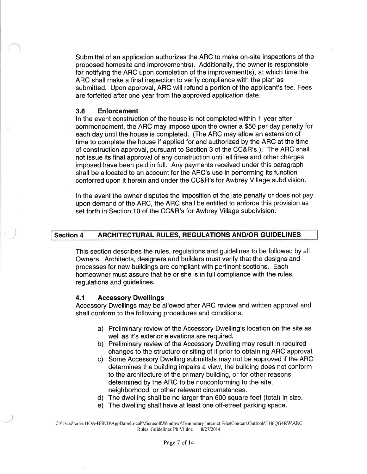Submittal of an application authorizes the ARC to make on-site inspections of the proposed homesite and improvement(s). Additionally, the owner is responsible for notifying the ARC upon completion of the improvement(s), at which time the ARC shall make a final inspection to verify compliance with the plan as submitted. Upon approval, ARC will refund a portion of the applicant's fee. Fees are forfeited after one year from the approved application date.

#### 3.8 Enforcement

ln the event construction of the house is not completed within 1 year after commencement, the ARC may impose upon the owner a \$50 per day penalty for each day until the house is completed. (The ARC may allow an extension of time to complete the house if applied for and authorized by the ARC at the time of construction approval, pursuant to Section 3 of the CC&R's.). The ARC shall not issue its final approval of any construction until all fines and other charges imposed have been paid in full. Any payments received under this paragraph shall be allocated to an account for the ARC's use in performing its function conferred upon it herein and under the CC&R's for Awbrey Village subdivision.

ln the event the owner disputes the imposition of the late penalty or does not pay upon demand of the ARC, the ARC shall be entitled to enforce this provision as set forth in Section 10 of the CC&R's for Awbrey Village subdivision.

# Section 4 ARCHITECTURAL RULES, REGULATIONS AND/OR GUIDELINES

This section describes the rules, regulations and guidelines to be followed by all Owners. Architects, designers and builders must verify that the designs and processes for new buildings are compliant with pertinent sections. Each homeowner must assure that he or she is in full compliance with the rules, regulations and guidelines.

#### 4.1 Accessory Dwellings

Accessory Dwellings may be allowed after ARC review and written approval and shall conform to the following procedures and conditions:

- a) Preliminary review of the Accessory Dwelling's location on the site as well as it's exterior elevations are required.
- b) Preliminary review of the Accessory Dwelling may result in required changes to the structure or siting of it prior to obtaining ARC approval.
- c) Some Accessory Dwelling submittals may not be approved if the ARC determines the building impairs a view, the building does not conform to the architecture of the primary building, or for other reasons determined by the ARC to be nonconforming to the site, neighborhood, or other relevant circumstances.
- d) The dwelling shall be no larger than 600 square feet (total) in size.
- e) The dwelling shall have at least one off-street parking space.

C:\Users\tenie.HOA-BEND\AppData\LocalMicrosoft\Windows\Temporary Internet File\$Content.Outlook\TH6QG4RW\ARC Rules Guidelines Ph VI.doc 8/27/2014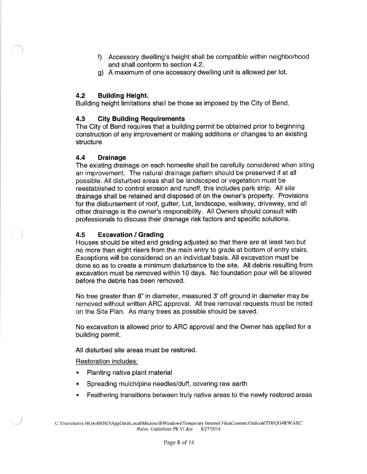- f) Accessory dwelling's height shall be compatible within neighborhood and shall conform to section 4.2.
- g) A maximum of one accessory dwelling unit is allowed per lot.

# 4.2 Building Height.

Building height limitations shall be those as imposed by the City of Bend

# 4.3 City Building Requirements

The City of Bend requires that a building permit be obtained prior to beginning construction of any improvement or making additions or changes to an existing structure

# 4.4 Drainage

The existing drainage on each homesite shall be carefully considered when siting an improvement. The natural drainage pattern should be preserved if at all possible. All disturbed areas shall be landscaped or vegetation must be reestablished to control erosion and runoff, this includes park strip. All site drainage shall be retained and disposed of on the owner's property. Provisions for the disbursement of roof, gutter, Lot, landscape, walkway, driveway, and all other drainage is the owner's responsibility. All Owners should consult with professionals to discuss their drainage risk factors and specific solutions.

# 4,5 Excavation / Grading

Houses should be sited and grading adjusted so that there are at least two but no more than eight risers from the main entry to grade at bottom of entry stairs. Exceptions will be considered on an individual basis. All excavation must be done so as to create a minimum disturbance to the site. All debris resulting from excavation must be removed within 10 days. No foundation pour will be allowed before the debris has been removed.

No tree greater than 8" in diameter, measured 3'off ground in diameter may be removed without written ARC approval. Alltree removal requests must be noted on the Site Plan. As many trees as possible should be saved.

No excavation is allowed prior to ARC approval and the Owner has applied for a building permit.

All disturbed site areas must be restored.

Restoration includes:

- **Planting native plant material**
- **. Spreading mulch/pine needles/duff, covering raw earth**
- . Feathering transitions between truly native areas to the newly restored areas

C:\Users\terie.HOA-tsËND\AppData\Local\Microsoft\Windows\Temporary Intemet Files\Content.OutlooldTH6QG4RW\ARC Rules Guidelines Ph VI.doc 8/27/2014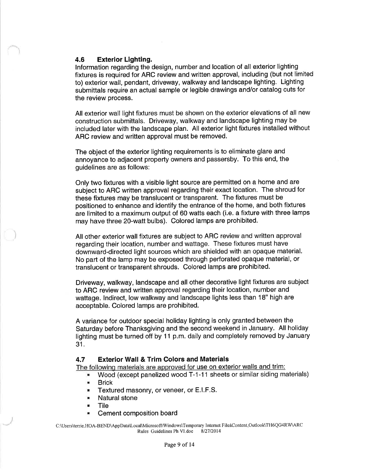# 4.6 Exterior Lighting.

Information regarding the design, number and location of all exterior lighting fixtures is required for ARC review and written approval, including (but not limited to) exterior wall, pendant, driveway, walkway and landscape lighting. Lighting submittals require an actual sample or legible drawings and/or catalog cuts for the review process.

All exterior wall light fixtures must be shown on the exterior elevations of all new construction submittals. Driveway, walkway and landscape lighting may be included later with the landscape plan. All exterior light fixtures installed without ARC review and written approval must be removed.

The object of the exterior lighting requirements is to eliminate glare and annoyance to adjacent property owners and passersby. To this end, the guidelines are as follows:

Only two fixtures with a visible light source are permitted on a home and are subject to ARC written approval regarding their exact location. The shroud for these fixtures may be translucent or transparent. The fixtures must be positioned to enhance and identify the entrance of the home, and both fixtures are limited to a maximum output of 60 watts each (i.e. a fixture with three lamps may have three 2O-watt bulbs). Colored lamps are prohibited.

All other exterior wall fixtures are subject to ARC review and written approval regarding their location, number and wattage. These fixtures must have downward-directed light sources which are shielded with an opaque material. No part of the lamp may be exposed through perforated opaque material, or translucent or transparent shrouds. Colored lamps are prohibited.

Driveway, walkway, landscape and all other decorative light fixtures are subject to ARC review and written approval regarding their location, number and wattage. lndirect, low walkway and landscape lights less than 18" high are acceptable. Colored lamps are prohibited.

A variance for outdoor special holiday lighting is only granted between the Saturday before Thanksgiving and the second weekend in January. All holiday lighting must be turned off by 11 p.m. daily and completely removed by January 31.

### 4.7 Exterior Wall & Trim Colors and Materials

The following materials are approved for use on exterior walls and trim:

- Wood (except panelized wood T-1-11 sheets or similar siding materials)
- . Brick
- **E** Textured masonry, or veneer, or E.I.F.S.
- . Natural stone
- . Tile
- **E** Cement composition board

C:\Users\terie.HOA-BEND\AppData\LocalMicrosoft\Windows\Temporary Intemet File\$Content.OutlooldTH6QG4RW\ARC Rules Guidelines Ph VI.doc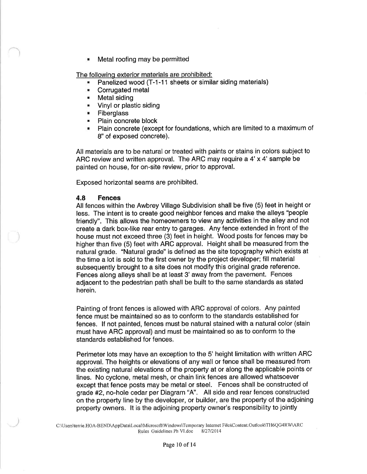. Metal roofing may be permitted

The following exterior materials are prohibited:

- Panelized wood (T-1-11 sheets or similar siding materials)
- **EXECO** Corrugated metal
- . Metal siding
- **Vinyl or plastic siding**
- . Fiberglass
- **Plain concrete block**
- . Plain concrete (except for foundations, which are limited to a maximum of 8" of exposed concrete).

All materials are to be natural or treated with paints or stains in colors subject to ARC review and written approval. The ARC may require a 4'x 4' sample be painted on house, for on-site review, prior to approval.

Exposed horizontal seams are prohibited.

### 4.8 Fences

All fences within the Awbrey Village Subdivision shall be five (5) feet in height or less. The intent is to create good neighbor fences and make the alleys "people friendly". This allows the homeowners to view any activities in the alley and not create a dark box-like rear entry to garages. Any fence extended in front of the house must not exceed three (3) feet in height. Wood posts for fences may be higher than five (5) feet with ARC approval. Height shall be measured from the natural grade. "Natural grade" is defined as the site topography which exists at the time a lot is sold to the first owner by the project developer; fill material subsequently brought to a site does not modify this original grade reference. Fences along alleys shall be at least 3' away from the pavement. Fences adjacent to the pedestrian path shall be built to the same standards as stated herein.

Painting of front fences is allowed with ARC approval of colors. Any painted fence must be maintained so as to conform to the standards established for fences. lf not painted, fences must be natural stained with a natural color (stain must have ARC approval) and must be maintained so as to conform to the standards established for fences.

Perimeter lots may have an exception to the 5' height limitation with written ARC approval. The heights or elevations of any wall or fence shall be measured from the existing natural elevations of the property at or along the applicable points or lines. No cyclone, metal mesh, or chain link fences are allowed whatsoever except that fence posts may be metal or steel. Fences shall be constructed of grade #2, no-hole cedar per Diagram "4". All side and rear fences constructed on the property line by the developer, or builder, are the property of the adjoining property owners. lt is the adjoining property owner's responsibility to jointly

C:\Users\terrie.HOA-BEND\AppData\Local\Microsoft\Windows\Temporary Internet Files\Content.Outlook\TH6QG4RW\ARC Rules Guidelines Ph Vl.doc 8/27/2014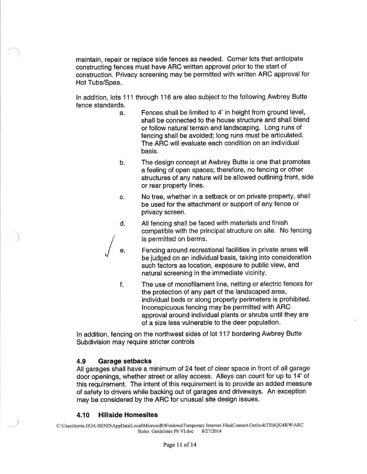maintain, repair or replace side fences as needed. Corner lots that anticipate constructing fences must have ARC written approval prior to the start of construction. Privacy screening may be permitted with written ARC approval for Hot Tubs/Spas.

In addition, lots 111 through 116 are also subject to the following Awbrey Butte fence standards.

- a. Fences shall be limited to 4' in height from ground level, shall be connected to the house structure and shall blend or follow natural terrain and landscaping. Long runs of fencing shall be avoided; long runs must be articulated. The ARC will evaluate each condition on an individual basis.
- b. The design concept at Awbrey Butte is one that promotes a feeling of open spaces; therefore, no fencing or other structures of any nature will be allowed outlining front, side or rear property lines.
- c. No tree, whether in a setback or on private property, shall be used for the attachment or support of any fence or privacy screen.
- d. All fencing shall be faced with materials and finish , "ompatible"<br>s nermitted" compatible with the principal structure on site. No fencing / is permitted on berms.

e. Fencing around recreational facilities in private areas will<br>be judged on an individual basis, taking into consideration such factors as location, exposure to public view, and natural screening in the immediate vicinity.

f. The use of monofilament line, netting or electric fences for the protection of any part of the landscaped area, individual beds or along property perimeters is prohibited. lnconspicuous fencing may be permitted with ARC approval around individual plants or shrubs until they are of a size less vulnerable to the deer population.

ln addition, fencing on the northwest sides of lot 1 17 bordering Awbrey Butte Subdivision may require stricter controls

### 4.9 Garage setbacks

I

All garages shall have a minimum of 24 feet of clear space in front of all garage door openings, whether street or alley access. Alleys can count for up to 14'of this requirement. The intent of this requirement is to provide an added measure of safety to drivers while backing out of garages and driveways. An exception may be considered by the ARC for unusual site design issues.

#### 4.10 Hillside Homesites

C:\Users\terrie.HOA-BEND\AppData\LocalMicrosoft\Windows\Tomporary Intemet File\$Content.OutloohTH6QG4RW\ARC Rules Guidelines Ph VI.doc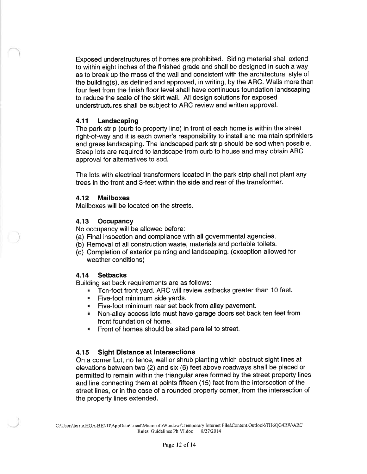Exposed understructures of homes are prohibited. Siding material shall extend to within eight inches of the finished grade and shall be designed in such a way as to break up the mass of the wall and consistent with the architectural style of the building(s), as defined and approved, in writing, by the ARC. Walls more than four feet from the finish floor level shall have continuous foundation landscaping to reduce the scale of the skirt wall. All design solutions for exposed understructures shall be subject to ARC review and written approval.

# 4.11 Landscaping

The park strip (curb to property line) in front of each home is within the street right-of-way and it is each owner's responsibility to install and maintain sprinklers and grass landscaping. The landscaped park strip should be sod when possible. Steep lots are required to landscape from curb to house and may obtain ARC approval for alternatives to sod.

The lots with electrical transformers located in the park strip shall not plant any trees in the front and 3-feet within the side and rear of the transformer.

# 4.12 Mailboxes

Mailboxes will be located on the streets.

# 4.13 Occupancy

No occupancy will be allowed before:

- (a) Final inspection and compliance with all governmental agencies.
- (b) Removal of all construction waste, materials and portable toilets.
- (c) Completion of exterior painting and landscaping. (exception allowed for weather conditions)

# 4.14 Setbacks

Building set back requirements are as follows:

- . Ten-foot front yard. ARC will review setbacks greater than 10 feet.
- **EXECUTE:** Five-foot minimum side yards.
- . Five-foot minimum rear set back from alley pavement.
- . Non-alley access lots must have garage doors set back ten feet from front foundation of home.
- Front of homes should be sited parallel to street.

# 4.15 Sight Distance at lntersections

On a corner Lot, no fence, wall or shrub planting which obstruct sight lines at elevations between two (2) and six (6) feet above roadways shall be placed or permitted to remain within the triangular area formed by the street property lines and line connecting them at points fifteen (15) feet from the intersection of the street lines, or in the case of a rounded property corner, from the intersection of the property lines extended.

C:\Users\terrie.HOA-BEND\AppData\Local\Microsoft\Windows\Temporary Internet File\$Content.Outlook\TH6QG4RW\ARC<br>Rules Guidelines Ph VI.doc 8/27/2014 Rules Guidelines Ph VI.doc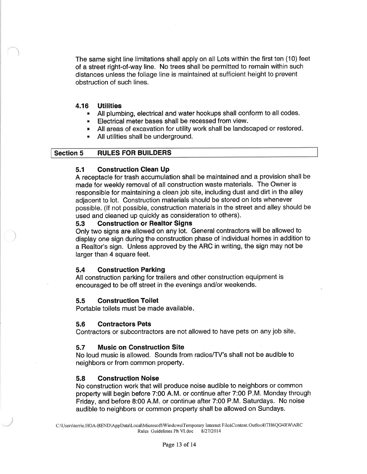The same sight line limitations shall apply on all Lots within the first ten (10) feet of a street right-of-way line. No trees shall be permitted to remain within such distances unless the foliage line is maintained at sufficient height to prevent obstruction of such lines.

#### **Utilities** 4.

- All plumbing, electrical and water hookups shall conform to all codes.
- **Electrical meter bases shall be recessed from view.**
- **All areas of excavation for utility work shall be landscaped or restored.**
- . All utilities shall be underground.

#### Section 5 RULES FOR BUILDERS

### 5.1 Construction Clean Up

A receptacle for trash accumulation shall be maintained and a provision shall be made for weekly removal of all construction waste materials. The Owner is responsible for maintaining a clean job site, including dust and dirt in the alley adjacent to lot. Construction materials should be stored on lots whenever possible. (lf not possible, construction materials in the street and alley should be used and cleaned up quickly as consideration to others).

#### 5.3 Construction or Realtor Signs

Only two signs are allowed on any lot. General contractors will be allowed to display one sign during the construction phase of individual homes in addition to a Realtor's sign. Unless approved by the ARC in writing, the sign may not be larger than 4 square feet.

### 5.4 Construction Parking

All construction parking for trailers and other construction equipment is encouraged to be off street in the evenings and/or weekends.

### 5.5 Construction Toilet

Portable toilets must be made available

#### 5.6 Contractors Pets

Contractors or subcontractors are not allowed to have pets on any job site

#### 5.7 Music on Construction Site

No loud music is allowed. Sounds from radios/TV's shall not be audible to neighbors or from common property.

### 5.8 Construction Noise

No construction work that will produce noise audible to neighbors or common property will begin before 7:00 A.M. or continue after 7:00 P.M. Monday through Friday, and before 8:00 A.M. or continue after 7:00 P.M. Saturdays. No noise audible to neighbors or common property shall be allowed on Sundays.

C:\Users\terrie.HOA-BEND\AppData\Local\Microsoft\Windows\Temporary Internet Files\Content.Outlook\TH6QG4RW\ARC<br>Rules Guidelines Ph VI.doc 8/27/2014 Rules Guidelines Ph VI.doc